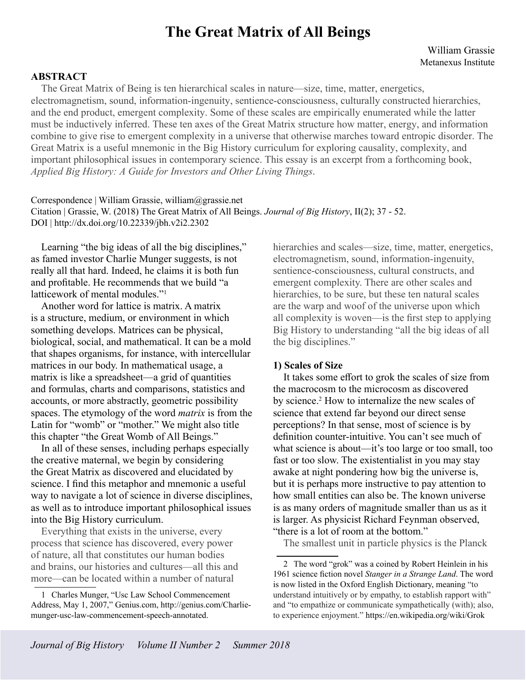# **The Great Matrix of All Beings**

## **ABSTRACT**

The Great Matrix of Being is ten hierarchical scales in nature—size, time, matter, energetics, electromagnetism, sound, information-ingenuity, sentience-consciousness, culturally constructed hierarchies, and the end product, emergent complexity. Some of these scales are empirically enumerated while the latter must be inductively inferred. These ten axes of the Great Matrix structure how matter, energy, and information combine to give rise to emergent complexity in a universe that otherwise marches toward entropic disorder. The Great Matrix is a useful mnemonic in the Big History curriculum for exploring causality, complexity, and important philosophical issues in contemporary science. This essay is an excerpt from a forthcoming book, *Applied Big History: A Guide for Investors and Other Living Things*.

Correspondence | William Grassie, william@grassie.net Citation | Grassie, W. (2018) The Great Matrix of All Beings. *Journal of Big History*, II(2); 37 - 52. DOI | http://dx.doi.org/10.22339/jbh.v2i2.2302

Learning "the big ideas of all the big disciplines," as famed investor Charlie Munger suggests, is not really all that hard. Indeed, he claims it is both fun and profitable. He recommends that we build "a latticework of mental modules."<sup>1</sup>

Another word for lattice is matrix. A matrix is a structure, medium, or environment in which something develops. Matrices can be physical, biological, social, and mathematical. It can be a mold that shapes organisms, for instance, with intercellular matrices in our body. In mathematical usage, a matrix is like a spreadsheet—a grid of quantities and formulas, charts and comparisons, statistics and accounts, or more abstractly, geometric possibility spaces. The etymology of the word *matrix* is from the Latin for "womb" or "mother." We might also title this chapter "the Great Womb of All Beings."

In all of these senses, including perhaps especially the creative maternal, we begin by considering the Great Matrix as discovered and elucidated by science. I find this metaphor and mnemonic a useful way to navigate a lot of science in diverse disciplines, as well as to introduce important philosophical issues into the Big History curriculum.

Everything that exists in the universe, every process that science has discovered, every power of nature, all that constitutes our human bodies and brains, our histories and cultures—all this and more—can be located within a number of natural

1 Charles Munger, "Usc Law School Commencement Address, May 1, 2007," Genius.com, http://genius.com/Charliemunger-usc-law-commencement-speech-annotated.

hierarchies and scales—size, time, matter, energetics, electromagnetism, sound, information-ingenuity, sentience-consciousness, cultural constructs, and emergent complexity. There are other scales and hierarchies, to be sure, but these ten natural scales are the warp and woof of the universe upon which all complexity is woven—is the first step to applying Big History to understanding "all the big ideas of all the big disciplines."

#### **1) Scales of Size**

It takes some effort to grok the scales of size from the macrocosm to the microcosm as discovered by science.<sup>2</sup> How to internalize the new scales of science that extend far beyond our direct sense perceptions? In that sense, most of science is by definition counter-intuitive. You can't see much of what science is about—it's too large or too small, too fast or too slow. The existentialist in you may stay awake at night pondering how big the universe is, but it is perhaps more instructive to pay attention to how small entities can also be. The known universe is as many orders of magnitude smaller than us as it is larger. As physicist Richard Feynman observed, "there is a lot of room at the bottom."

The smallest unit in particle physics is the Planck

<sup>2</sup> The word "grok" was a coined by Robert Heinlein in his 1961 science fiction novel *Stanger in a Strange Land*. The word is now listed in the Oxford English Dictionary, meaning "to understand intuitively or by empathy, to establish rapport with" and "to empathize or communicate sympathetically (with); also, to experience enjoyment." https://en.wikipedia.org/wiki/Grok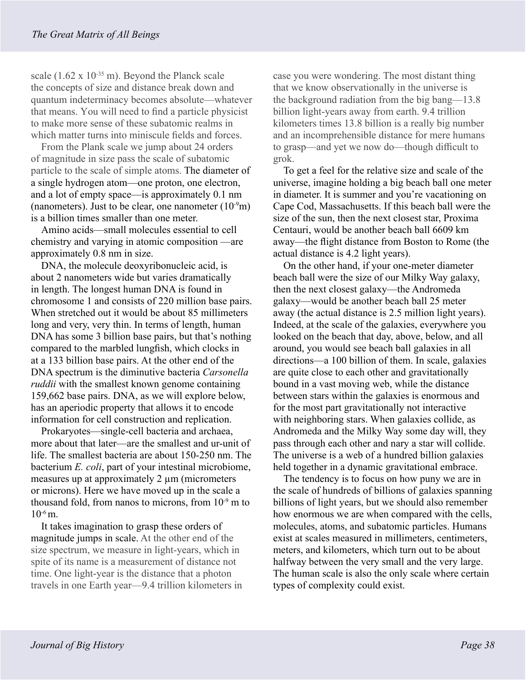scale  $(1.62 \times 10^{-35} \text{ m})$ . Beyond the Planck scale the concepts of size and distance break down and quantum indeterminacy becomes absolute—whatever that means. You will need to find a particle physicist to make more sense of these subatomic realms in which matter turns into miniscule fields and forces.

From the Plank scale we jump about 24 orders of magnitude in size pass the scale of subatomic particle to the scale of simple atoms. The diameter of a single hydrogen atom—one proton, one electron, and a lot of empty space—is approximately 0.1 nm (nanometers). Just to be clear, one nanometer  $(10^{-9}m)$ is a billion times smaller than one meter.

Amino acids—small molecules essential to cell chemistry and varying in atomic composition —are approximately 0.8 nm in size.

DNA, the molecule deoxyribonucleic acid, is about 2 nanometers wide but varies dramatically in length. The longest human DNA is found in chromosome 1 and consists of 220 million base pairs. When stretched out it would be about 85 millimeters long and very, very thin. In terms of length, human DNA has some 3 billion base pairs, but that's nothing compared to the marbled lungfish, which clocks in at a 133 billion base pairs. At the other end of the DNA spectrum is the diminutive bacteria *Carsonella ruddii* with the smallest known genome containing 159,662 base pairs. DNA, as we will explore below, has an aperiodic property that allows it to encode information for cell construction and replication.

Prokaryotes—single-cell bacteria and archaea, more about that later—are the smallest and ur-unit of life. The smallest bacteria are about 150-250 nm. The bacterium *E. coli*, part of your intestinal microbiome, measures up at approximately 2  $\mu$ m (micrometers or microns). Here we have moved up in the scale a thousand fold, from nanos to microns, from  $10^{-9}$  m to  $10^{-6}$  m.

It takes imagination to grasp these orders of magnitude jumps in scale. At the other end of the size spectrum, we measure in light-years, which in spite of its name is a measurement of distance not time. One light-year is the distance that a photon travels in one Earth year—9.4 trillion kilometers in case you were wondering. The most distant thing that we know observationally in the universe is the background radiation from the big bang—13.8 billion light-years away from earth. 9.4 trillion kilometers times 13.8 billion is a really big number and an incomprehensible distance for mere humans to grasp—and yet we now do—though difficult to grok.

To get a feel for the relative size and scale of the universe, imagine holding a big beach ball one meter in diameter. It is summer and you're vacationing on Cape Cod, Massachusetts. If this beach ball were the size of the sun, then the next closest star, Proxima Centauri, would be another beach ball 6609 km away—the flight distance from Boston to Rome (the actual distance is 4.2 light years).

On the other hand, if your one-meter diameter beach ball were the size of our Milky Way galaxy, then the next closest galaxy—the Andromeda galaxy—would be another beach ball 25 meter away (the actual distance is 2.5 million light years). Indeed, at the scale of the galaxies, everywhere you looked on the beach that day, above, below, and all around, you would see beach ball galaxies in all directions—a 100 billion of them. In scale, galaxies are quite close to each other and gravitationally bound in a vast moving web, while the distance between stars within the galaxies is enormous and for the most part gravitationally not interactive with neighboring stars. When galaxies collide, as Andromeda and the Milky Way some day will, they pass through each other and nary a star will collide. The universe is a web of a hundred billion galaxies held together in a dynamic gravitational embrace.

The tendency is to focus on how puny we are in the scale of hundreds of billions of galaxies spanning billions of light years, but we should also remember how enormous we are when compared with the cells, molecules, atoms, and subatomic particles. Humans exist at scales measured in millimeters, centimeters, meters, and kilometers, which turn out to be about halfway between the very small and the very large. The human scale is also the only scale where certain types of complexity could exist.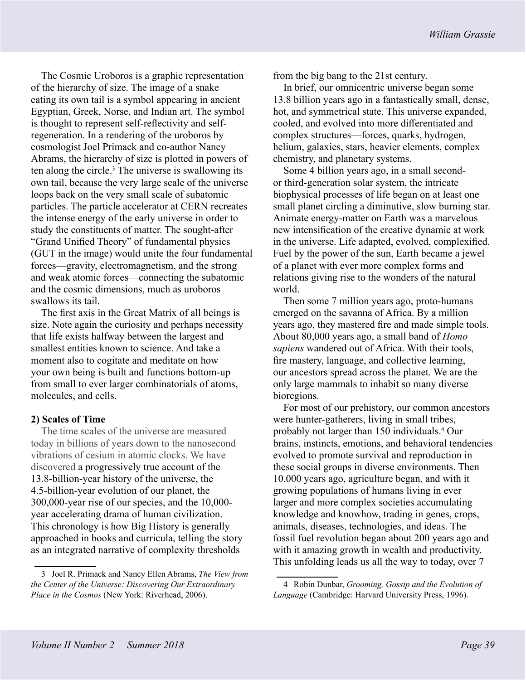The Cosmic Uroboros is a graphic representation of the hierarchy of size. The image of a snake eating its own tail is a symbol appearing in ancient Egyptian, Greek, Norse, and Indian art. The symbol is thought to represent self-reflectivity and selfregeneration. In a rendering of the uroboros by cosmologist Joel Primack and co-author Nancy Abrams, the hierarchy of size is plotted in powers of ten along the circle.<sup>3</sup> The universe is swallowing its own tail, because the very large scale of the universe loops back on the very small scale of subatomic particles. The particle accelerator at CERN recreates the intense energy of the early universe in order to study the constituents of matter. The sought-after "Grand Unified Theory" of fundamental physics (GUT in the image) would unite the four fundamental forces—gravity, electromagnetism, and the strong and weak atomic forces—connecting the subatomic and the cosmic dimensions, much as uroboros swallows its tail.

The first axis in the Great Matrix of all beings is size. Note again the curiosity and perhaps necessity that life exists halfway between the largest and smallest entities known to science. And take a moment also to cogitate and meditate on how your own being is built and functions bottom-up from small to ever larger combinatorials of atoms, molecules, and cells.

# **2) Scales of Time**

The time scales of the universe are measured today in billions of years down to the nanosecond vibrations of cesium in atomic clocks. We have discovered a progressively true account of the 13.8-billion-year history of the universe, the 4.5-billion-year evolution of our planet, the 300,000-year rise of our species, and the 10,000 year accelerating drama of human civilization. This chronology is how Big History is generally approached in books and curricula, telling the story as an integrated narrative of complexity thresholds

from the big bang to the 21st century.

In brief, our omnicentric universe began some 13.8 billion years ago in a fantastically small, dense, hot, and symmetrical state. This universe expanded, cooled, and evolved into more differentiated and complex structures—forces, quarks, hydrogen, helium, galaxies, stars, heavier elements, complex chemistry, and planetary systems.

Some 4 billion years ago, in a small secondor third-generation solar system, the intricate biophysical processes of life began on at least one small planet circling a diminutive, slow burning star. Animate energy-matter on Earth was a marvelous new intensification of the creative dynamic at work in the universe. Life adapted, evolved, complexified. Fuel by the power of the sun, Earth became a jewel of a planet with ever more complex forms and relations giving rise to the wonders of the natural world.

Then some 7 million years ago, proto-humans emerged on the savanna of Africa. By a million years ago, they mastered fire and made simple tools. About 80,000 years ago, a small band of *Homo sapiens* wandered out of Africa. With their tools, fire mastery, language, and collective learning, our ancestors spread across the planet. We are the only large mammals to inhabit so many diverse bioregions.

For most of our prehistory, our common ancestors were hunter-gatherers, living in small tribes, probably not larger than 150 individuals.4 Our brains, instincts, emotions, and behavioral tendencies evolved to promote survival and reproduction in these social groups in diverse environments. Then 10,000 years ago, agriculture began, and with it growing populations of humans living in ever larger and more complex societies accumulating knowledge and knowhow, trading in genes, crops, animals, diseases, technologies, and ideas. The fossil fuel revolution began about 200 years ago and with it amazing growth in wealth and productivity. This unfolding leads us all the way to today, over 7

<sup>3</sup> Joel R. Primack and Nancy Ellen Abrams, *The View from the Center of the Universe: Discovering Our Extraordinary Place in the Cosmos* (New York: Riverhead, 2006).

<sup>4</sup> Robin Dunbar, *Grooming, Gossip and the Evolution of Language* (Cambridge: Harvard University Press, 1996).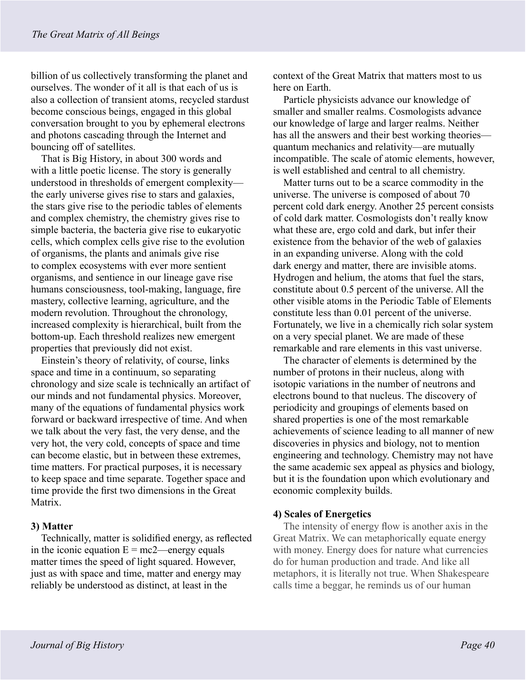billion of us collectively transforming the planet and ourselves. The wonder of it all is that each of us is also a collection of transient atoms, recycled stardust become conscious beings, engaged in this global conversation brought to you by ephemeral electrons and photons cascading through the Internet and bouncing off of satellites.

That is Big History, in about 300 words and with a little poetic license. The story is generally understood in thresholds of emergent complexity the early universe gives rise to stars and galaxies, the stars give rise to the periodic tables of elements and complex chemistry, the chemistry gives rise to simple bacteria, the bacteria give rise to eukaryotic cells, which complex cells give rise to the evolution of organisms, the plants and animals give rise to complex ecosystems with ever more sentient organisms, and sentience in our lineage gave rise humans consciousness, tool-making, language, fire mastery, collective learning, agriculture, and the modern revolution. Throughout the chronology, increased complexity is hierarchical, built from the bottom-up. Each threshold realizes new emergent properties that previously did not exist.

Einstein's theory of relativity, of course, links space and time in a continuum, so separating chronology and size scale is technically an artifact of our minds and not fundamental physics. Moreover, many of the equations of fundamental physics work forward or backward irrespective of time. And when we talk about the very fast, the very dense, and the very hot, the very cold, concepts of space and time can become elastic, but in between these extremes, time matters. For practical purposes, it is necessary to keep space and time separate. Together space and time provide the first two dimensions in the Great Matrix.

# **3) Matter**

Technically, matter is solidified energy, as reflected in the iconic equation  $E = mc2$ —energy equals matter times the speed of light squared. However, just as with space and time, matter and energy may reliably be understood as distinct, at least in the

context of the Great Matrix that matters most to us here on Earth.

Particle physicists advance our knowledge of smaller and smaller realms. Cosmologists advance our knowledge of large and larger realms. Neither has all the answers and their best working theories quantum mechanics and relativity—are mutually incompatible. The scale of atomic elements, however, is well established and central to all chemistry.

Matter turns out to be a scarce commodity in the universe. The universe is composed of about 70 percent cold dark energy. Another 25 percent consists of cold dark matter. Cosmologists don't really know what these are, ergo cold and dark, but infer their existence from the behavior of the web of galaxies in an expanding universe. Along with the cold dark energy and matter, there are invisible atoms. Hydrogen and helium, the atoms that fuel the stars, constitute about 0.5 percent of the universe. All the other visible atoms in the Periodic Table of Elements constitute less than 0.01 percent of the universe. Fortunately, we live in a chemically rich solar system on a very special planet. We are made of these remarkable and rare elements in this vast universe.

The character of elements is determined by the number of protons in their nucleus, along with isotopic variations in the number of neutrons and electrons bound to that nucleus. The discovery of periodicity and groupings of elements based on shared properties is one of the most remarkable achievements of science leading to all manner of new discoveries in physics and biology, not to mention engineering and technology. Chemistry may not have the same academic sex appeal as physics and biology, but it is the foundation upon which evolutionary and economic complexity builds.

# **4) Scales of Energetics**

The intensity of energy flow is another axis in the Great Matrix. We can metaphorically equate energy with money. Energy does for nature what currencies do for human production and trade. And like all metaphors, it is literally not true. When Shakespeare calls time a beggar, he reminds us of our human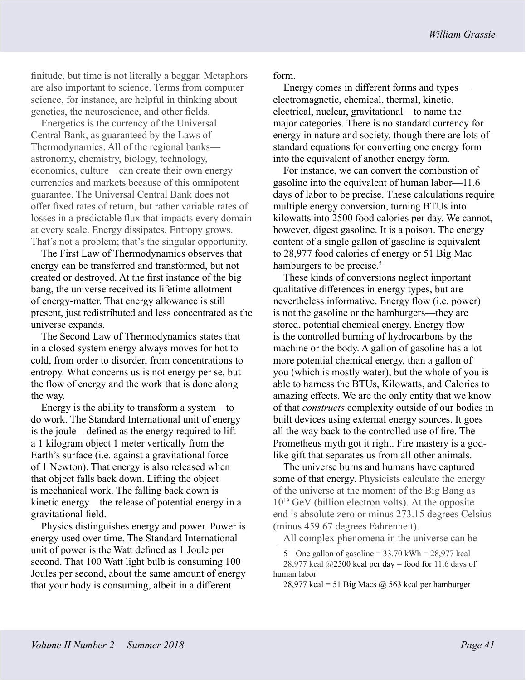finitude, but time is not literally a beggar. Metaphors are also important to science. Terms from computer science, for instance, are helpful in thinking about genetics, the neuroscience, and other fields.

Energetics is the currency of the Universal Central Bank, as guaranteed by the Laws of Thermodynamics. All of the regional banks astronomy, chemistry, biology, technology, economics, culture—can create their own energy currencies and markets because of this omnipotent guarantee. The Universal Central Bank does not offer fixed rates of return, but rather variable rates of losses in a predictable flux that impacts every domain at every scale. Energy dissipates. Entropy grows. That's not a problem; that's the singular opportunity.

The First Law of Thermodynamics observes that energy can be transferred and transformed, but not created or destroyed. At the first instance of the big bang, the universe received its lifetime allotment of energy-matter. That energy allowance is still present, just redistributed and less concentrated as the universe expands.

The Second Law of Thermodynamics states that in a closed system energy always moves for hot to cold, from order to disorder, from concentrations to entropy. What concerns us is not energy per se, but the flow of energy and the work that is done along the way.

Energy is the ability to transform a system—to do work. The Standard International unit of energy is the joule—defined as the energy required to lift a 1 kilogram object 1 meter vertically from the Earth's surface (i.e. against a gravitational force of 1 Newton). That energy is also released when that object falls back down. Lifting the object is mechanical work. The falling back down is kinetic energy—the release of potential energy in a gravitational field.

Physics distinguishes energy and power. Power is energy used over time. The Standard International unit of power is the Watt defined as 1 Joule per second. That 100 Watt light bulb is consuming 100 Joules per second, about the same amount of energy that your body is consuming, albeit in a different

form.

Energy comes in different forms and types electromagnetic, chemical, thermal, kinetic, electrical, nuclear, gravitational—to name the major categories. There is no standard currency for energy in nature and society, though there are lots of standard equations for converting one energy form into the equivalent of another energy form.

For instance, we can convert the combustion of gasoline into the equivalent of human labor—11.6 days of labor to be precise. These calculations require multiple energy conversion, turning BTUs into kilowatts into 2500 food calories per day. We cannot, however, digest gasoline. It is a poison. The energy content of a single gallon of gasoline is equivalent to 28,977 food calories of energy or 51 Big Mac hamburgers to be precise.<sup>5</sup>

These kinds of conversions neglect important qualitative differences in energy types, but are nevertheless informative. Energy flow (i.e. power) is not the gasoline or the hamburgers—they are stored, potential chemical energy. Energy flow is the controlled burning of hydrocarbons by the machine or the body. A gallon of gasoline has a lot more potential chemical energy, than a gallon of you (which is mostly water), but the whole of you is able to harness the BTUs, Kilowatts, and Calories to amazing effects. We are the only entity that we know of that *constructs* complexity outside of our bodies in built devices using external energy sources. It goes all the way back to the controlled use of fire. The Prometheus myth got it right. Fire mastery is a godlike gift that separates us from all other animals.

The universe burns and humans have captured some of that energy. Physicists calculate the energy of the universe at the moment of the Big Bang as  $10^{19}$  GeV (billion electron volts). At the opposite end is absolute zero or minus 273.15 degrees Celsius (minus 459.67 degrees Fahrenheit).

All complex phenomena in the universe can be

<sup>5</sup> One gallon of gasoline =  $33.70$  kWh =  $28,977$  kcal 28,977 kcal  $(2500 \text{ kcal per day} = \text{food for } 11.6 \text{ days of})$ human labor

<sup>28,977</sup> kcal = 51 Big Macs  $@$  563 kcal per hamburger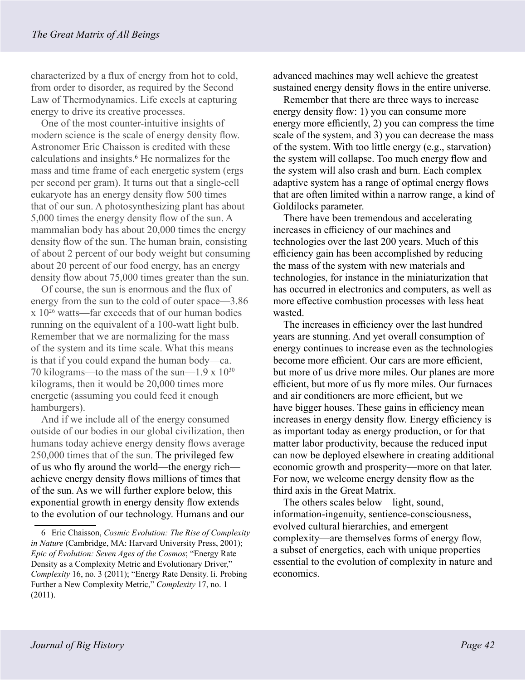characterized by a flux of energy from hot to cold, from order to disorder, as required by the Second Law of Thermodynamics. Life excels at capturing energy to drive its creative processes.

One of the most counter-intuitive insights of modern science is the scale of energy density flow. Astronomer Eric Chaisson is credited with these calculations and insights.6 He normalizes for the mass and time frame of each energetic system (ergs per second per gram). It turns out that a single-cell eukaryote has an energy density flow 500 times that of our sun. A photosynthesizing plant has about 5,000 times the energy density flow of the sun. A mammalian body has about 20,000 times the energy density flow of the sun. The human brain, consisting of about 2 percent of our body weight but consuming about 20 percent of our food energy, has an energy density flow about 75,000 times greater than the sun.

Of course, the sun is enormous and the flux of energy from the sun to the cold of outer space—3.86 x 10<sup>26</sup> watts—far exceeds that of our human bodies running on the equivalent of a 100-watt light bulb. Remember that we are normalizing for the mass of the system and its time scale. What this means is that if you could expand the human body—ca. 70 kilograms—to the mass of the sun—1.9 x 1030 kilograms, then it would be 20,000 times more energetic (assuming you could feed it enough hamburgers).

And if we include all of the energy consumed outside of our bodies in our global civilization, then humans today achieve energy density flows average 250,000 times that of the sun. The privileged few of us who fly around the world—the energy rich achieve energy density flows millions of times that of the sun. As we will further explore below, this exponential growth in energy density flow extends to the evolution of our technology. Humans and our

advanced machines may well achieve the greatest sustained energy density flows in the entire universe.

Remember that there are three ways to increase energy density flow: 1) you can consume more energy more efficiently, 2) you can compress the time scale of the system, and 3) you can decrease the mass of the system. With too little energy (e.g., starvation) the system will collapse. Too much energy flow and the system will also crash and burn. Each complex adaptive system has a range of optimal energy flows that are often limited within a narrow range, a kind of Goldilocks parameter.

There have been tremendous and accelerating increases in efficiency of our machines and technologies over the last 200 years. Much of this efficiency gain has been accomplished by reducing the mass of the system with new materials and technologies, for instance in the miniaturization that has occurred in electronics and computers, as well as more effective combustion processes with less heat wasted.

The increases in efficiency over the last hundred years are stunning. And yet overall consumption of energy continues to increase even as the technologies become more efficient. Our cars are more efficient, but more of us drive more miles. Our planes are more efficient, but more of us fly more miles. Our furnaces and air conditioners are more efficient, but we have bigger houses. These gains in efficiency mean increases in energy density flow. Energy efficiency is as important today as energy production, or for that matter labor productivity, because the reduced input can now be deployed elsewhere in creating additional economic growth and prosperity—more on that later. For now, we welcome energy density flow as the third axis in the Great Matrix.

The others scales below—light, sound, information-ingenuity, sentience-consciousness, evolved cultural hierarchies, and emergent complexity—are themselves forms of energy flow, a subset of energetics, each with unique properties essential to the evolution of complexity in nature and economics.

<sup>6</sup> Eric Chaisson, *Cosmic Evolution: The Rise of Complexity in Nature* (Cambridge, MA: Harvard University Press, 2001); *Epic of Evolution: Seven Ages of the Cosmos*; "Energy Rate Density as a Complexity Metric and Evolutionary Driver," *Complexity* 16, no. 3 (2011); "Energy Rate Density. Ii. Probing Further a New Complexity Metric," *Complexity* 17, no. 1 (2011).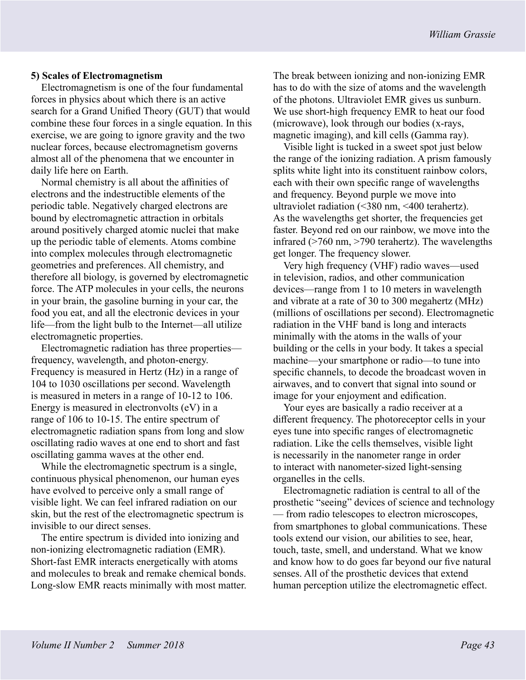## **5) Scales of Electromagnetism**

Electromagnetism is one of the four fundamental forces in physics about which there is an active search for a Grand Unified Theory (GUT) that would combine these four forces in a single equation. In this exercise, we are going to ignore gravity and the two nuclear forces, because electromagnetism governs almost all of the phenomena that we encounter in daily life here on Earth.

Normal chemistry is all about the affinities of electrons and the indestructible elements of the periodic table. Negatively charged electrons are bound by electromagnetic attraction in orbitals around positively charged atomic nuclei that make up the periodic table of elements. Atoms combine into complex molecules through electromagnetic geometries and preferences. All chemistry, and therefore all biology, is governed by electromagnetic force. The ATP molecules in your cells, the neurons in your brain, the gasoline burning in your car, the food you eat, and all the electronic devices in your life—from the light bulb to the Internet—all utilize electromagnetic properties.

Electromagnetic radiation has three properties frequency, wavelength, and photon-energy. Frequency is measured in Hertz (Hz) in a range of 104 to 1030 oscillations per second. Wavelength is measured in meters in a range of 10-12 to 106. Energy is measured in electronvolts (eV) in a range of 106 to 10-15. The entire spectrum of electromagnetic radiation spans from long and slow oscillating radio waves at one end to short and fast oscillating gamma waves at the other end.

While the electromagnetic spectrum is a single, continuous physical phenomenon, our human eyes have evolved to perceive only a small range of visible light. We can feel infrared radiation on our skin, but the rest of the electromagnetic spectrum is invisible to our direct senses.

The entire spectrum is divided into ionizing and non-ionizing electromagnetic radiation (EMR). Short-fast EMR interacts energetically with atoms and molecules to break and remake chemical bonds. Long-slow EMR reacts minimally with most matter. The break between ionizing and non-ionizing EMR has to do with the size of atoms and the wavelength of the photons. Ultraviolet EMR gives us sunburn. We use short-high frequency EMR to heat our food (microwave), look through our bodies (x-rays, magnetic imaging), and kill cells (Gamma ray).

Visible light is tucked in a sweet spot just below the range of the ionizing radiation. A prism famously splits white light into its constituent rainbow colors, each with their own specific range of wavelengths and frequency. Beyond purple we move into ultraviolet radiation (<380 nm, <400 terahertz). As the wavelengths get shorter, the frequencies get faster. Beyond red on our rainbow, we move into the infrared (>760 nm, >790 terahertz). The wavelengths get longer. The frequency slower.

Very high frequency (VHF) radio waves—used in television, radios, and other communication devices—range from 1 to 10 meters in wavelength and vibrate at a rate of 30 to 300 megahertz (MHz) (millions of oscillations per second). Electromagnetic radiation in the VHF band is long and interacts minimally with the atoms in the walls of your building or the cells in your body. It takes a special machine—your smartphone or radio—to tune into specific channels, to decode the broadcast woven in airwaves, and to convert that signal into sound or image for your enjoyment and edification.

Your eyes are basically a radio receiver at a different frequency. The photoreceptor cells in your eyes tune into specific ranges of electromagnetic radiation. Like the cells themselves, visible light is necessarily in the nanometer range in order to interact with nanometer-sized light-sensing organelles in the cells.

Electromagnetic radiation is central to all of the prosthetic "seeing" devices of science and technology — from radio telescopes to electron microscopes, from smartphones to global communications. These tools extend our vision, our abilities to see, hear, touch, taste, smell, and understand. What we know and know how to do goes far beyond our five natural senses. All of the prosthetic devices that extend human perception utilize the electromagnetic effect.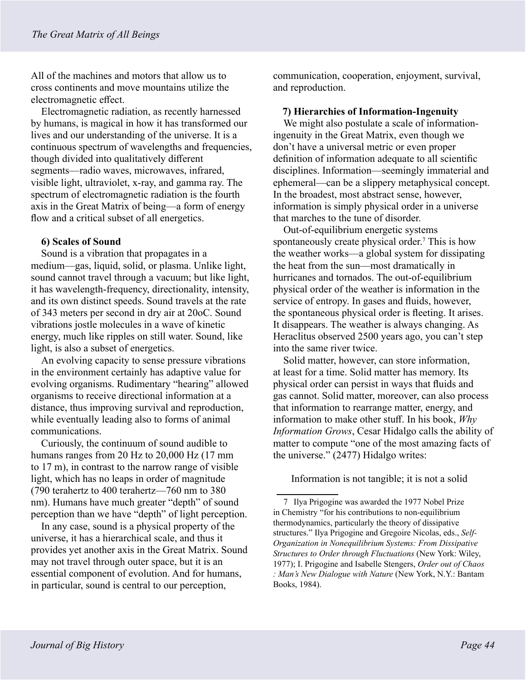All of the machines and motors that allow us to cross continents and move mountains utilize the electromagnetic effect.

Electromagnetic radiation, as recently harnessed by humans, is magical in how it has transformed our lives and our understanding of the universe. It is a continuous spectrum of wavelengths and frequencies, though divided into qualitatively different segments—radio waves, microwaves, infrared, visible light, ultraviolet, x-ray, and gamma ray. The spectrum of electromagnetic radiation is the fourth axis in the Great Matrix of being—a form of energy flow and a critical subset of all energetics.

## **6) Scales of Sound**

Sound is a vibration that propagates in a medium—gas, liquid, solid, or plasma. Unlike light, sound cannot travel through a vacuum; but like light, it has wavelength-frequency, directionality, intensity, and its own distinct speeds. Sound travels at the rate of 343 meters per second in dry air at 20oC. Sound vibrations jostle molecules in a wave of kinetic energy, much like ripples on still water. Sound, like light, is also a subset of energetics.

An evolving capacity to sense pressure vibrations in the environment certainly has adaptive value for evolving organisms. Rudimentary "hearing" allowed organisms to receive directional information at a distance, thus improving survival and reproduction, while eventually leading also to forms of animal communications.

Curiously, the continuum of sound audible to humans ranges from 20 Hz to 20,000 Hz (17 mm to 17 m), in contrast to the narrow range of visible light, which has no leaps in order of magnitude (790 terahertz to 400 terahertz—760 nm to 380 nm). Humans have much greater "depth" of sound perception than we have "depth" of light perception.

In any case, sound is a physical property of the universe, it has a hierarchical scale, and thus it provides yet another axis in the Great Matrix. Sound may not travel through outer space, but it is an essential component of evolution. And for humans, in particular, sound is central to our perception,

communication, cooperation, enjoyment, survival, and reproduction.

#### **7) Hierarchies of Information-Ingenuity**

We might also postulate a scale of informationingenuity in the Great Matrix, even though we don't have a universal metric or even proper definition of information adequate to all scientific disciplines. Information—seemingly immaterial and ephemeral—can be a slippery metaphysical concept. In the broadest, most abstract sense, however, information is simply physical order in a universe that marches to the tune of disorder.

Out-of-equilibrium energetic systems spontaneously create physical order.7 This is how the weather works—a global system for dissipating the heat from the sun—most dramatically in hurricanes and tornados. The out-of-equilibrium physical order of the weather is information in the service of entropy. In gases and fluids, however, the spontaneous physical order is fleeting. It arises. It disappears. The weather is always changing. As Heraclitus observed 2500 years ago, you can't step into the same river twice.

Solid matter, however, can store information, at least for a time. Solid matter has memory. Its physical order can persist in ways that fluids and gas cannot. Solid matter, moreover, can also process that information to rearrange matter, energy, and information to make other stuff. In his book, *Why Information Grows*, Cesar Hidalgo calls the ability of matter to compute "one of the most amazing facts of the universe." (2477) Hidalgo writes:

Information is not tangible; it is not a solid

<sup>7</sup> Ilya Prigogine was awarded the 1977 Nobel Prize in Chemistry "for his contributions to non-equilibrium thermodynamics, particularly the theory of dissipative structures." Ilya Prigogine and Gregoire Nicolas, eds., *Self-Organization in Nonequilibrium Systems: From Dissipative Structures to Order through Fluctuations* (New York: Wiley, 1977); I. Prigogine and Isabelle Stengers, *Order out of Chaos : Man's New Dialogue with Nature* (New York, N.Y.: Bantam Books, 1984).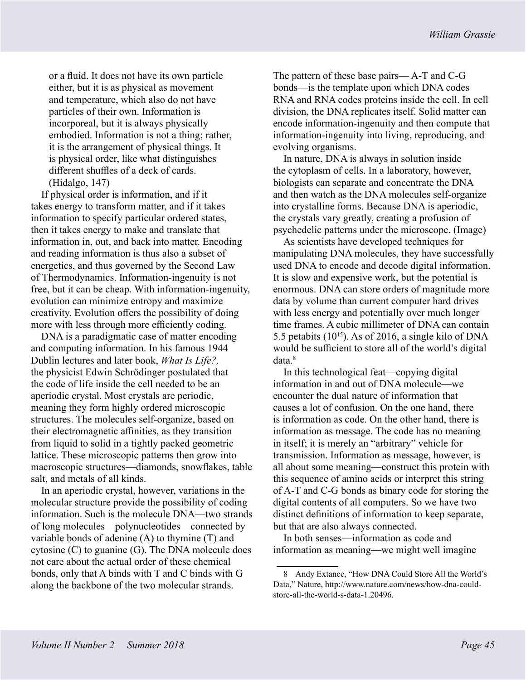or a fluid. It does not have its own particle either, but it is as physical as movement and temperature, which also do not have particles of their own. Information is incorporeal, but it is always physically embodied. Information is not a thing; rather, it is the arrangement of physical things. It is physical order, like what distinguishes different shuffles of a deck of cards. (Hidalgo, 147)

If physical order is information, and if it takes energy to transform matter, and if it takes information to specify particular ordered states, then it takes energy to make and translate that information in, out, and back into matter. Encoding and reading information is thus also a subset of energetics, and thus governed by the Second Law of Thermodynamics. Information-ingenuity is not free, but it can be cheap. With information-ingenuity, evolution can minimize entropy and maximize creativity. Evolution offers the possibility of doing more with less through more efficiently coding.

DNA is a paradigmatic case of matter encoding and computing information. In his famous 1944 Dublin lectures and later book, *What Is Life?,* the physicist Edwin Schrödinger postulated that the code of life inside the cell needed to be an aperiodic crystal. Most crystals are periodic, meaning they form highly ordered microscopic structures. The molecules self-organize, based on their electromagnetic affinities, as they transition from liquid to solid in a tightly packed geometric lattice. These microscopic patterns then grow into macroscopic structures—diamonds, snowflakes, table salt, and metals of all kinds.

In an aperiodic crystal, however, variations in the molecular structure provide the possibility of coding information. Such is the molecule DNA—two strands of long molecules—polynucleotides—connected by variable bonds of adenine (A) to thymine (T) and cytosine (C) to guanine (G). The DNA molecule does not care about the actual order of these chemical bonds, only that A binds with T and C binds with G along the backbone of the two molecular strands.

The pattern of these base pairs— A-T and C-G bonds—is the template upon which DNA codes RNA and RNA codes proteins inside the cell. In cell division, the DNA replicates itself. Solid matter can encode information-ingenuity and then compute that information-ingenuity into living, reproducing, and evolving organisms.

In nature, DNA is always in solution inside the cytoplasm of cells. In a laboratory, however, biologists can separate and concentrate the DNA and then watch as the DNA molecules self-organize into crystalline forms. Because DNA is aperiodic, the crystals vary greatly, creating a profusion of psychedelic patterns under the microscope. (Image)

As scientists have developed techniques for manipulating DNA molecules, they have successfully used DNA to encode and decode digital information. It is slow and expensive work, but the potential is enormous. DNA can store orders of magnitude more data by volume than current computer hard drives with less energy and potentially over much longer time frames. A cubic millimeter of DNA can contain 5.5 petabits  $(10^{15})$ . As of 2016, a single kilo of DNA would be sufficient to store all of the world's digital data.<sup>8</sup>

In this technological feat—copying digital information in and out of DNA molecule—we encounter the dual nature of information that causes a lot of confusion. On the one hand, there is information as code. On the other hand, there is information as message. The code has no meaning in itself; it is merely an "arbitrary" vehicle for transmission. Information as message, however, is all about some meaning—construct this protein with this sequence of amino acids or interpret this string of A-T and C-G bonds as binary code for storing the digital contents of all computers. So we have two distinct definitions of information to keep separate, but that are also always connected.

In both senses—information as code and information as meaning—we might well imagine

<sup>8</sup> Andy Extance, "How DNA Could Store All the World's Data," Nature, http://www.nature.com/news/how-dna-couldstore-all-the-world-s-data-1.20496.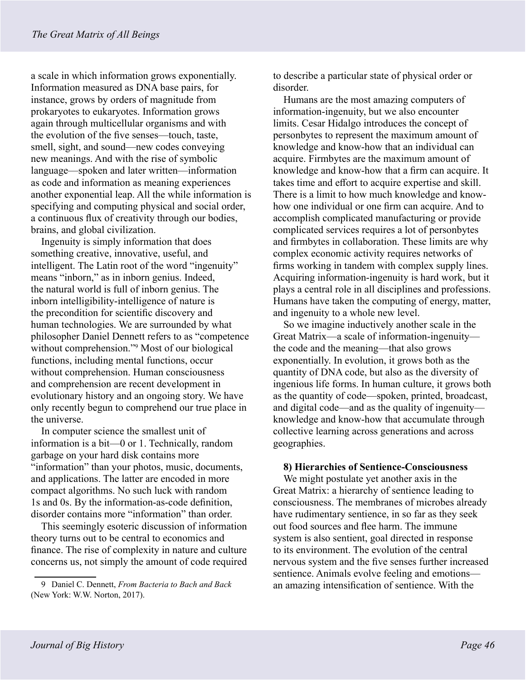a scale in which information grows exponentially. Information measured as DNA base pairs, for instance, grows by orders of magnitude from prokaryotes to eukaryotes. Information grows again through multicellular organisms and with the evolution of the five senses—touch, taste, smell, sight, and sound—new codes conveying new meanings. And with the rise of symbolic language—spoken and later written—information as code and information as meaning experiences another exponential leap. All the while information is specifying and computing physical and social order, a continuous flux of creativity through our bodies, brains, and global civilization.

Ingenuity is simply information that does something creative, innovative, useful, and intelligent. The Latin root of the word "ingenuity" means "inborn," as in inborn genius. Indeed, the natural world is full of inborn genius. The inborn intelligibility-intelligence of nature is the precondition for scientific discovery and human technologies. We are surrounded by what philosopher Daniel Dennett refers to as "competence without comprehension."<sup>9</sup> Most of our biological functions, including mental functions, occur without comprehension. Human consciousness and comprehension are recent development in evolutionary history and an ongoing story. We have only recently begun to comprehend our true place in the universe.

In computer science the smallest unit of information is a bit—0 or 1. Technically, random garbage on your hard disk contains more "information" than your photos, music, documents, and applications. The latter are encoded in more compact algorithms. No such luck with random 1s and 0s. By the information-as-code definition, disorder contains more "information" than order.

This seemingly esoteric discussion of information theory turns out to be central to economics and finance. The rise of complexity in nature and culture concerns us, not simply the amount of code required to describe a particular state of physical order or disorder.

Humans are the most amazing computers of information-ingenuity, but we also encounter limits. Cesar Hidalgo introduces the concept of personbytes to represent the maximum amount of knowledge and know-how that an individual can acquire. Firmbytes are the maximum amount of knowledge and know-how that a firm can acquire. It takes time and effort to acquire expertise and skill. There is a limit to how much knowledge and knowhow one individual or one firm can acquire. And to accomplish complicated manufacturing or provide complicated services requires a lot of personbytes and firmbytes in collaboration. These limits are why complex economic activity requires networks of firms working in tandem with complex supply lines. Acquiring information-ingenuity is hard work, but it plays a central role in all disciplines and professions. Humans have taken the computing of energy, matter, and ingenuity to a whole new level.

So we imagine inductively another scale in the Great Matrix—a scale of information-ingenuity the code and the meaning—that also grows exponentially. In evolution, it grows both as the quantity of DNA code, but also as the diversity of ingenious life forms. In human culture, it grows both as the quantity of code—spoken, printed, broadcast, and digital code—and as the quality of ingenuity knowledge and know-how that accumulate through collective learning across generations and across geographies.

#### **8) Hierarchies of Sentience-Consciousness**

We might postulate yet another axis in the Great Matrix: a hierarchy of sentience leading to consciousness. The membranes of microbes already have rudimentary sentience, in so far as they seek out food sources and flee harm. The immune system is also sentient, goal directed in response to its environment. The evolution of the central nervous system and the five senses further increased sentience. Animals evolve feeling and emotions an amazing intensification of sentience. With the

<sup>9</sup> Daniel C. Dennett, *From Bacteria to Bach and Back* (New York: W.W. Norton, 2017).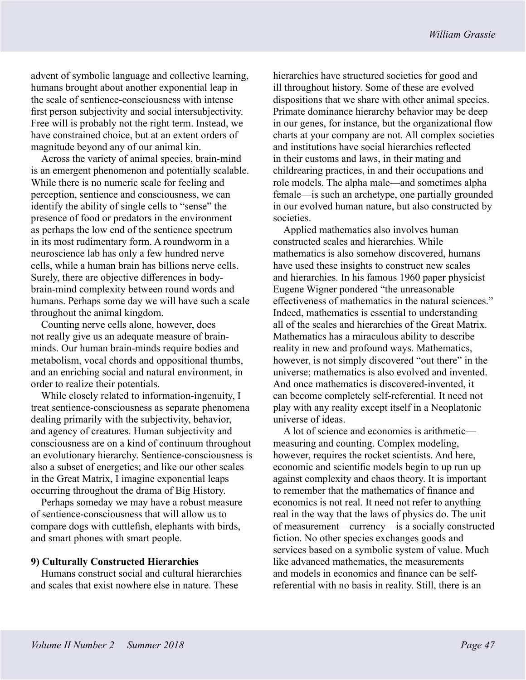advent of symbolic language and collective learning, humans brought about another exponential leap in the scale of sentience-consciousness with intense first person subjectivity and social intersubjectivity. Free will is probably not the right term. Instead, we have constrained choice, but at an extent orders of magnitude beyond any of our animal kin.

Across the variety of animal species, brain-mind is an emergent phenomenon and potentially scalable. While there is no numeric scale for feeling and perception, sentience and consciousness, we can identify the ability of single cells to "sense" the presence of food or predators in the environment as perhaps the low end of the sentience spectrum in its most rudimentary form. A roundworm in a neuroscience lab has only a few hundred nerve cells, while a human brain has billions nerve cells. Surely, there are objective differences in bodybrain-mind complexity between round words and humans. Perhaps some day we will have such a scale throughout the animal kingdom.

Counting nerve cells alone, however, does not really give us an adequate measure of brainminds. Our human brain-minds require bodies and metabolism, vocal chords and oppositional thumbs, and an enriching social and natural environment, in order to realize their potentials.

While closely related to information-ingenuity, I treat sentience-consciousness as separate phenomena dealing primarily with the subjectivity, behavior, and agency of creatures. Human subjectivity and consciousness are on a kind of continuum throughout an evolutionary hierarchy. Sentience-consciousness is also a subset of energetics; and like our other scales in the Great Matrix, I imagine exponential leaps occurring throughout the drama of Big History.

Perhaps someday we may have a robust measure of sentience-consciousness that will allow us to compare dogs with cuttlefish, elephants with birds, and smart phones with smart people.

#### **9) Culturally Constructed Hierarchies**

Humans construct social and cultural hierarchies and scales that exist nowhere else in nature. These

hierarchies have structured societies for good and ill throughout history. Some of these are evolved dispositions that we share with other animal species. Primate dominance hierarchy behavior may be deep in our genes, for instance, but the organizational flow charts at your company are not. All complex societies and institutions have social hierarchies reflected in their customs and laws, in their mating and childrearing practices, in and their occupations and role models. The alpha male—and sometimes alpha female—is such an archetype, one partially grounded in our evolved human nature, but also constructed by societies.

Applied mathematics also involves human constructed scales and hierarchies. While mathematics is also somehow discovered, humans have used these insights to construct new scales and hierarchies. In his famous 1960 paper physicist Eugene Wigner pondered "the unreasonable effectiveness of mathematics in the natural sciences." Indeed, mathematics is essential to understanding all of the scales and hierarchies of the Great Matrix. Mathematics has a miraculous ability to describe reality in new and profound ways. Mathematics, however, is not simply discovered "out there" in the universe; mathematics is also evolved and invented. And once mathematics is discovered-invented, it can become completely self-referential. It need not play with any reality except itself in a Neoplatonic universe of ideas.

A lot of science and economics is arithmetic measuring and counting. Complex modeling, however, requires the rocket scientists. And here, economic and scientific models begin to up run up against complexity and chaos theory. It is important to remember that the mathematics of finance and economics is not real. It need not refer to anything real in the way that the laws of physics do. The unit of measurement—currency—is a socially constructed fiction. No other species exchanges goods and services based on a symbolic system of value. Much like advanced mathematics, the measurements and models in economics and finance can be selfreferential with no basis in reality. Still, there is an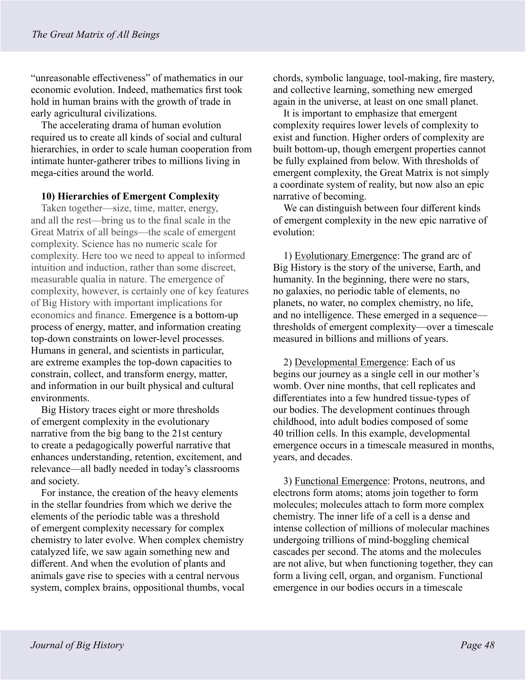"unreasonable effectiveness" of mathematics in our economic evolution. Indeed, mathematics first took hold in human brains with the growth of trade in early agricultural civilizations.

The accelerating drama of human evolution required us to create all kinds of social and cultural hierarchies, in order to scale human cooperation from intimate hunter-gatherer tribes to millions living in mega-cities around the world.

# **10) Hierarchies of Emergent Complexity**

Taken together—size, time, matter, energy, and all the rest—bring us to the final scale in the Great Matrix of all beings—the scale of emergent complexity. Science has no numeric scale for complexity. Here too we need to appeal to informed intuition and induction, rather than some discreet, measurable qualia in nature. The emergence of complexity, however, is certainly one of key features of Big History with important implications for economics and finance. Emergence is a bottom-up process of energy, matter, and information creating top-down constraints on lower-level processes. Humans in general, and scientists in particular, are extreme examples the top-down capacities to constrain, collect, and transform energy, matter, and information in our built physical and cultural environments.

Big History traces eight or more thresholds of emergent complexity in the evolutionary narrative from the big bang to the 21st century to create a pedagogically powerful narrative that enhances understanding, retention, excitement, and relevance—all badly needed in today's classrooms and society.

For instance, the creation of the heavy elements in the stellar foundries from which we derive the elements of the periodic table was a threshold of emergent complexity necessary for complex chemistry to later evolve. When complex chemistry catalyzed life, we saw again something new and different. And when the evolution of plants and animals gave rise to species with a central nervous system, complex brains, oppositional thumbs, vocal chords, symbolic language, tool-making, fire mastery, and collective learning, something new emerged again in the universe, at least on one small planet.

It is important to emphasize that emergent complexity requires lower levels of complexity to exist and function. Higher orders of complexity are built bottom-up, though emergent properties cannot be fully explained from below. With thresholds of emergent complexity, the Great Matrix is not simply a coordinate system of reality, but now also an epic narrative of becoming.

We can distinguish between four different kinds of emergent complexity in the new epic narrative of evolution:

1) Evolutionary Emergence: The grand arc of Big History is the story of the universe, Earth, and humanity. In the beginning, there were no stars, no galaxies, no periodic table of elements, no planets, no water, no complex chemistry, no life, and no intelligence. These emerged in a sequence thresholds of emergent complexity—over a timescale measured in billions and millions of years.

2) Developmental Emergence: Each of us begins our journey as a single cell in our mother's womb. Over nine months, that cell replicates and differentiates into a few hundred tissue-types of our bodies. The development continues through childhood, into adult bodies composed of some 40 trillion cells. In this example, developmental emergence occurs in a timescale measured in months, years, and decades.

3) Functional Emergence: Protons, neutrons, and electrons form atoms; atoms join together to form molecules; molecules attach to form more complex chemistry. The inner life of a cell is a dense and intense collection of millions of molecular machines undergoing trillions of mind-boggling chemical cascades per second. The atoms and the molecules are not alive, but when functioning together, they can form a living cell, organ, and organism. Functional emergence in our bodies occurs in a timescale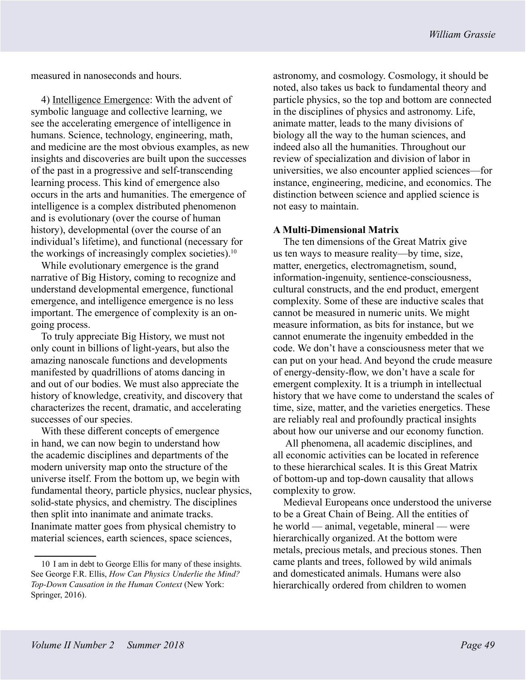measured in nanoseconds and hours.

4) Intelligence Emergence: With the advent of symbolic language and collective learning, we see the accelerating emergence of intelligence in humans. Science, technology, engineering, math, and medicine are the most obvious examples, as new insights and discoveries are built upon the successes of the past in a progressive and self-transcending learning process. This kind of emergence also occurs in the arts and humanities. The emergence of intelligence is a complex distributed phenomenon and is evolutionary (over the course of human history), developmental (over the course of an individual's lifetime), and functional (necessary for the workings of increasingly complex societies). $10$ 

While evolutionary emergence is the grand narrative of Big History, coming to recognize and understand developmental emergence, functional emergence, and intelligence emergence is no less important. The emergence of complexity is an ongoing process.

To truly appreciate Big History, we must not only count in billions of light-years, but also the amazing nanoscale functions and developments manifested by quadrillions of atoms dancing in and out of our bodies. We must also appreciate the history of knowledge, creativity, and discovery that characterizes the recent, dramatic, and accelerating successes of our species.

With these different concepts of emergence in hand, we can now begin to understand how the academic disciplines and departments of the modern university map onto the structure of the universe itself. From the bottom up, we begin with fundamental theory, particle physics, nuclear physics, solid-state physics, and chemistry. The disciplines then split into inanimate and animate tracks. Inanimate matter goes from physical chemistry to material sciences, earth sciences, space sciences,

astronomy, and cosmology. Cosmology, it should be noted, also takes us back to fundamental theory and particle physics, so the top and bottom are connected in the disciplines of physics and astronomy. Life, animate matter, leads to the many divisions of biology all the way to the human sciences, and indeed also all the humanities. Throughout our review of specialization and division of labor in universities, we also encounter applied sciences—for instance, engineering, medicine, and economics. The distinction between science and applied science is not easy to maintain.

# **A Multi-Dimensional Matrix**

The ten dimensions of the Great Matrix give us ten ways to measure reality—by time, size, matter, energetics, electromagnetism, sound, information-ingenuity, sentience-consciousness, cultural constructs, and the end product, emergent complexity. Some of these are inductive scales that cannot be measured in numeric units. We might measure information, as bits for instance, but we cannot enumerate the ingenuity embedded in the code. We don't have a consciousness meter that we can put on your head. And beyond the crude measure of energy-density-flow, we don't have a scale for emergent complexity. It is a triumph in intellectual history that we have come to understand the scales of time, size, matter, and the varieties energetics. These are reliably real and profoundly practical insights about how our universe and our economy function.

 All phenomena, all academic disciplines, and all economic activities can be located in reference to these hierarchical scales. It is this Great Matrix of bottom-up and top-down causality that allows complexity to grow.

Medieval Europeans once understood the universe to be a Great Chain of Being. All the entities of he world — animal, vegetable, mineral — were hierarchically organized. At the bottom were metals, precious metals, and precious stones. Then came plants and trees, followed by wild animals and domesticated animals. Humans were also hierarchically ordered from children to women

<sup>10</sup> I am in debt to George Ellis for many of these insights. See George F.R. Ellis, *How Can Physics Underlie the Mind? Top-Down Causation in the Human Context* (New York: Springer, 2016).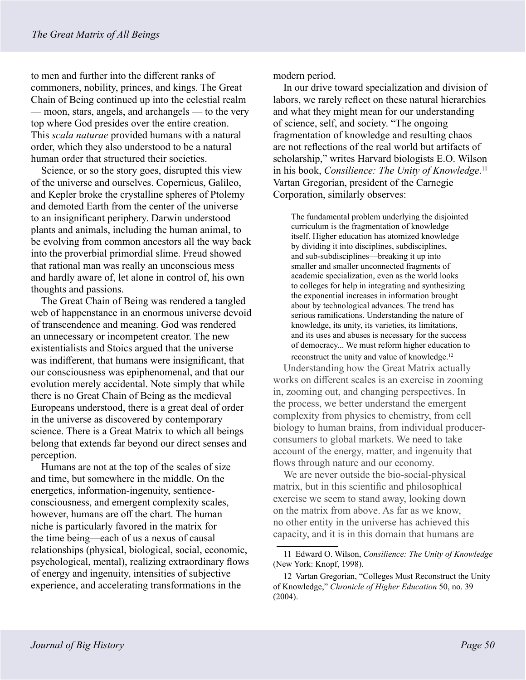to men and further into the different ranks of commoners, nobility, princes, and kings. The Great Chain of Being continued up into the celestial realm — moon, stars, angels, and archangels — to the very top where God presides over the entire creation. This *scala naturae* provided humans with a natural order, which they also understood to be a natural human order that structured their societies.

Science, or so the story goes, disrupted this view of the universe and ourselves. Copernicus, Galileo, and Kepler broke the crystalline spheres of Ptolemy and demoted Earth from the center of the universe to an insignificant periphery. Darwin understood plants and animals, including the human animal, to be evolving from common ancestors all the way back into the proverbial primordial slime. Freud showed that rational man was really an unconscious mess and hardly aware of, let alone in control of, his own thoughts and passions.

The Great Chain of Being was rendered a tangled web of happenstance in an enormous universe devoid of transcendence and meaning. God was rendered an unnecessary or incompetent creator. The new existentialists and Stoics argued that the universe was indifferent, that humans were insignificant, that our consciousness was epiphenomenal, and that our evolution merely accidental. Note simply that while there is no Great Chain of Being as the medieval Europeans understood, there is a great deal of order in the universe as discovered by contemporary science. There is a Great Matrix to which all beings belong that extends far beyond our direct senses and perception.

Humans are not at the top of the scales of size and time, but somewhere in the middle. On the energetics, information-ingenuity, sentienceconsciousness, and emergent complexity scales, however, humans are off the chart. The human niche is particularly favored in the matrix for the time being—each of us a nexus of causal relationships (physical, biological, social, economic, psychological, mental), realizing extraordinary flows of energy and ingenuity, intensities of subjective experience, and accelerating transformations in the

modern period.

In our drive toward specialization and division of labors, we rarely reflect on these natural hierarchies and what they might mean for our understanding of science, self, and society. "The ongoing fragmentation of knowledge and resulting chaos are not reflections of the real world but artifacts of scholarship," writes Harvard biologists E.O. Wilson in his book, *Consilience: The Unity of Knowledge*. 11 Vartan Gregorian, president of the Carnegie Corporation, similarly observes:

The fundamental problem underlying the disjointed curriculum is the fragmentation of knowledge itself. Higher education has atomized knowledge by dividing it into disciplines, subdisciplines, and sub-subdisciplines—breaking it up into smaller and smaller unconnected fragments of academic specialization, even as the world looks to colleges for help in integrating and synthesizing the exponential increases in information brought about by technological advances. The trend has serious ramifications. Understanding the nature of knowledge, its unity, its varieties, its limitations, and its uses and abuses is necessary for the success of democracy... We must reform higher education to reconstruct the unity and value of knowledge.<sup>12</sup>

Understanding how the Great Matrix actually works on different scales is an exercise in zooming in, zooming out, and changing perspectives. In the process, we better understand the emergent complexity from physics to chemistry, from cell biology to human brains, from individual producerconsumers to global markets. We need to take account of the energy, matter, and ingenuity that flows through nature and our economy.

We are never outside the bio-social-physical matrix, but in this scientific and philosophical exercise we seem to stand away, looking down on the matrix from above. As far as we know, no other entity in the universe has achieved this capacity, and it is in this domain that humans are

<sup>11</sup> Edward O. Wilson, *Consilience: The Unity of Knowledge* (New York: Knopf, 1998).

<sup>12</sup> Vartan Gregorian, "Colleges Must Reconstruct the Unity of Knowledge," *Chronicle of Higher Education* 50, no. 39 (2004).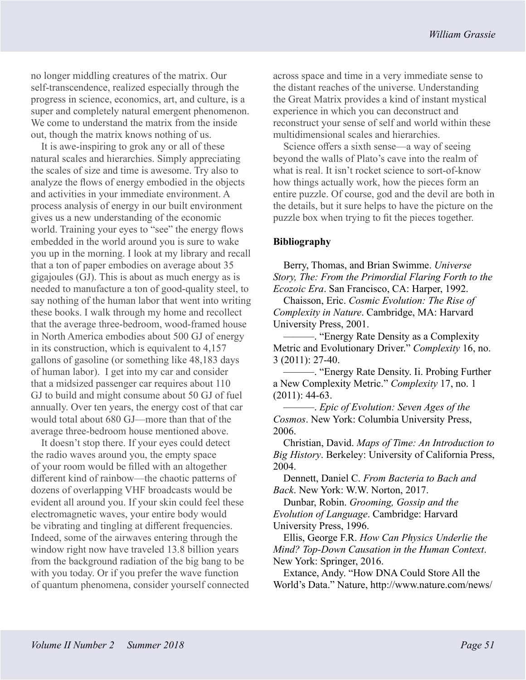no longer middling creatures of the matrix. Our self-transcendence, realized especially through the progress in science, economics, art, and culture, is a super and completely natural emergent phenomenon. We come to understand the matrix from the inside out, though the matrix knows nothing of us.

It is awe-inspiring to grok any or all of these natural scales and hierarchies. Simply appreciating the scales of size and time is awesome. Try also to analyze the flows of energy embodied in the objects and activities in your immediate environment. A process analysis of energy in our built environment gives us a new understanding of the economic world. Training your eyes to "see" the energy flows embedded in the world around you is sure to wake you up in the morning. I look at my library and recall that a ton of paper embodies on average about 35 gigajoules (GJ). This is about as much energy as is needed to manufacture a ton of good-quality steel, to say nothing of the human labor that went into writing these books. I walk through my home and recollect that the average three-bedroom, wood-framed house in North America embodies about 500 GJ of energy in its construction, which is equivalent to 4,157 gallons of gasoline (or something like 48,183 days of human labor). I get into my car and consider that a midsized passenger car requires about 110 GJ to build and might consume about 50 GJ of fuel annually. Over ten years, the energy cost of that car would total about 680 GJ—more than that of the average three-bedroom house mentioned above.

It doesn't stop there. If your eyes could detect the radio waves around you, the empty space of your room would be filled with an altogether different kind of rainbow—the chaotic patterns of dozens of overlapping VHF broadcasts would be evident all around you. If your skin could feel these electromagnetic waves, your entire body would be vibrating and tingling at different frequencies. Indeed, some of the airwaves entering through the window right now have traveled 13.8 billion years from the background radiation of the big bang to be with you today. Or if you prefer the wave function of quantum phenomena, consider yourself connected across space and time in a very immediate sense to the distant reaches of the universe. Understanding the Great Matrix provides a kind of instant mystical experience in which you can deconstruct and reconstruct your sense of self and world within these multidimensional scales and hierarchies.

Science offers a sixth sense—a way of seeing beyond the walls of Plato's cave into the realm of what is real. It isn't rocket science to sort-of-know how things actually work, how the pieces form an entire puzzle. Of course, god and the devil are both in the details, but it sure helps to have the picture on the puzzle box when trying to fit the pieces together.

## **Bibliography**

Berry, Thomas, and Brian Swimme. *Universe Story, The: From the Primordial Flaring Forth to the Ecozoic Era*. San Francisco, CA: Harper, 1992.

Chaisson, Eric. *Cosmic Evolution: The Rise of Complexity in Nature*. Cambridge, MA: Harvard University Press, 2001.

———. "Energy Rate Density as a Complexity Metric and Evolutionary Driver." *Complexity* 16, no. 3 (2011): 27-40.

———. "Energy Rate Density. Ii. Probing Further a New Complexity Metric." *Complexity* 17, no. 1 (2011): 44-63.

———. *Epic of Evolution: Seven Ages of the Cosmos*. New York: Columbia University Press, 2006.

Christian, David. *Maps of Time: An Introduction to Big History*. Berkeley: University of California Press, 2004.

Dennett, Daniel C. *From Bacteria to Bach and Back*. New York: W.W. Norton, 2017.

Dunbar, Robin. *Grooming, Gossip and the Evolution of Language*. Cambridge: Harvard University Press, 1996.

Ellis, George F.R. *How Can Physics Underlie the Mind? Top-Down Causation in the Human Context*. New York: Springer, 2016.

Extance, Andy. "How DNA Could Store All the World's Data." Nature, http://www.nature.com/news/